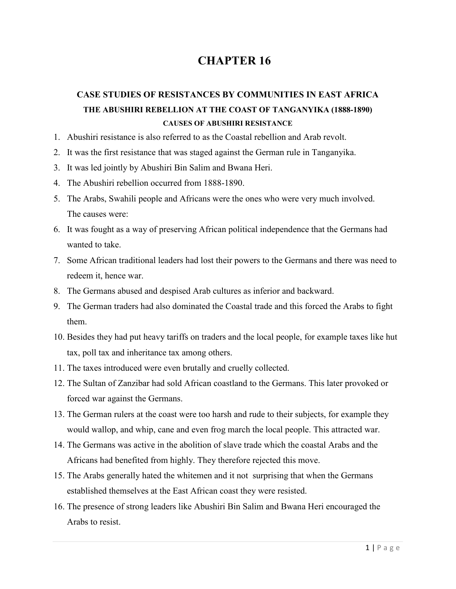# **CHAPTER 16**

# **CASE STUDIES OF RESISTANCES BY COMMUNITIES IN EAST AFRICA THE ABUSHIRI REBELLION AT THE COAST OF TANGANYIKA (1888-1890) CAUSES OF ABUSHIRI RESISTANCE**

- 1. Abushiri resistance is also referred to as the Coastal rebellion and Arab revolt.
- 2. It was the first resistance that was staged against the German rule in Tanganyika.
- 3. It was led jointly by Abushiri Bin Salim and Bwana Heri.
- 4. The Abushiri rebellion occurred from 1888-1890.
- 5. The Arabs, Swahili people and Africans were the ones who were very much involved. The causes were:
- 6. It was fought as a way of preserving African political independence that the Germans had wanted to take.
- 7. Some African traditional leaders had lost their powers to the Germans and there was need to redeem it, hence war.
- 8. The Germans abused and despised Arab cultures as inferior and backward.
- 9. The German traders had also dominated the Coastal trade and this forced the Arabs to fight them.
- 10. Besides they had put heavy tariffs on traders and the local people, for example taxes like hut tax, poll tax and inheritance tax among others.
- 11. The taxes introduced were even brutally and cruelly collected.
- 12. The Sultan of Zanzibar had sold African coastland to the Germans. This later provoked or forced war against the Germans.
- 13. The German rulers at the coast were too harsh and rude to their subjects, for example they would wallop, and whip, cane and even frog march the local people. This attracted war.
- 14. The Germans was active in the abolition of slave trade which the coastal Arabs and the Africans had benefited from highly. They therefore rejected this move.
- 15. The Arabs generally hated the whitemen and it not surprising that when the Germans established themselves at the East African coast they were resisted.
- 16. The presence of strong leaders like Abushiri Bin Salim and Bwana Heri encouraged the Arabs to resist.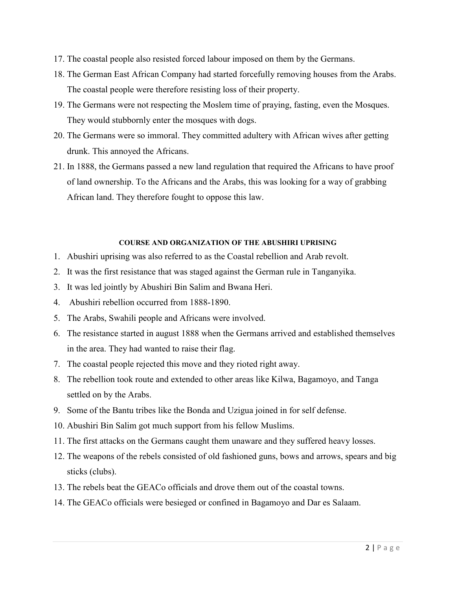- 17. The coastal people also resisted forced labour imposed on them by the Germans.
- 18. The German East African Company had started forcefully removing houses from the Arabs. The coastal people were therefore resisting loss of their property.
- 19. The Germans were not respecting the Moslem time of praying, fasting, even the Mosques. They would stubbornly enter the mosques with dogs.
- 20. The Germans were so immoral. They committed adultery with African wives after getting drunk. This annoyed the Africans.
- 21. In 1888, the Germans passed a new land regulation that required the Africans to have proof of land ownership. To the Africans and the Arabs, this was looking for a way of grabbing African land. They therefore fought to oppose this law.

#### **COURSE AND ORGANIZATION OF THE ABUSHIRI UPRISING**

- 1. Abushiri uprising was also referred to as the Coastal rebellion and Arab revolt.
- 2. It was the first resistance that was staged against the German rule in Tanganyika.
- 3. It was led jointly by Abushiri Bin Salim and Bwana Heri.
- 4. Abushiri rebellion occurred from 1888-1890.
- 5. The Arabs, Swahili people and Africans were involved.
- 6. The resistance started in august 1888 when the Germans arrived and established themselves in the area. They had wanted to raise their flag.
- 7. The coastal people rejected this move and they rioted right away.
- 8. The rebellion took route and extended to other areas like Kilwa, Bagamoyo, and Tanga settled on by the Arabs.
- 9. Some of the Bantu tribes like the Bonda and Uzigua joined in for self defense.
- 10. Abushiri Bin Salim got much support from his fellow Muslims.
- 11. The first attacks on the Germans caught them unaware and they suffered heavy losses.
- 12. The weapons of the rebels consisted of old fashioned guns, bows and arrows, spears and big sticks (clubs).
- 13. The rebels beat the GEACo officials and drove them out of the coastal towns.
- 14. The GEACo officials were besieged or confined in Bagamoyo and Dar es Salaam.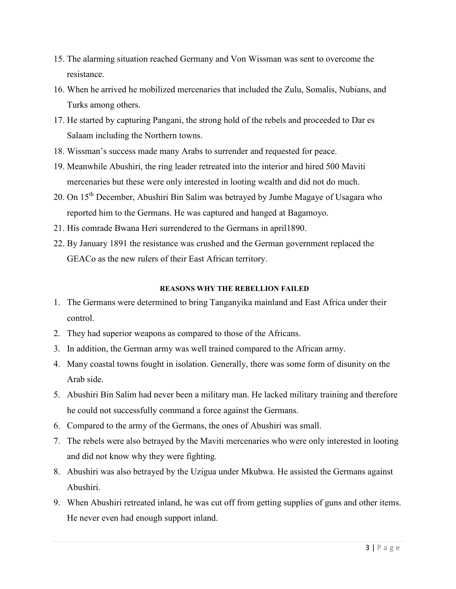- 15. The alarming situation reached Germany and Von Wissman was sent to overcome the resistance.
- 16. When he arrived he mobilized mercenaries that included the Zulu, Somalis, Nubians, and Turks among others.
- 17. He started by capturing Pangani, the strong hold of the rebels and proceeded to Dar es Salaam including the Northern towns.
- 18. Wissman's success made many Arabs to surrender and requested for peace.
- 19. Meanwhile Abushiri, the ring leader retreated into the interior and hired 500 Maviti mercenaries but these were only interested in looting wealth and did not do much.
- 20. On 15<sup>th</sup> December, Abushiri Bin Salim was betrayed by Jumbe Magaye of Usagara who reported him to the Germans. He was captured and hanged at Bagamoyo.
- 21. His comrade Bwana Heri surrendered to the Germans in april1890.
- 22. By January 1891 the resistance was crushed and the German government replaced the GEACo as the new rulers of their East African territory.

#### **REASONS WHY THE REBELLION FAILED**

- 1. The Germans were determined to bring Tanganyika mainland and East Africa under their control.
- 2. They had superior weapons as compared to those of the Africans.
- 3. In addition, the German army was well trained compared to the African army.
- 4. Many coastal towns fought in isolation. Generally, there was some form of disunity on the Arab side.
- 5. Abushiri Bin Salim had never been a military man. He lacked military training and therefore he could not successfully command a force against the Germans.
- 6. Compared to the army of the Germans, the ones of Abushiri was small.
- 7. The rebels were also betrayed by the Maviti mercenaries who were only interested in looting and did not know why they were fighting.
- 8. Abushiri was also betrayed by the Uzigua under Mkubwa. He assisted the Germans against Abushiri.
- 9. When Abushiri retreated inland, he was cut off from getting supplies of guns and other items. He never even had enough support inland.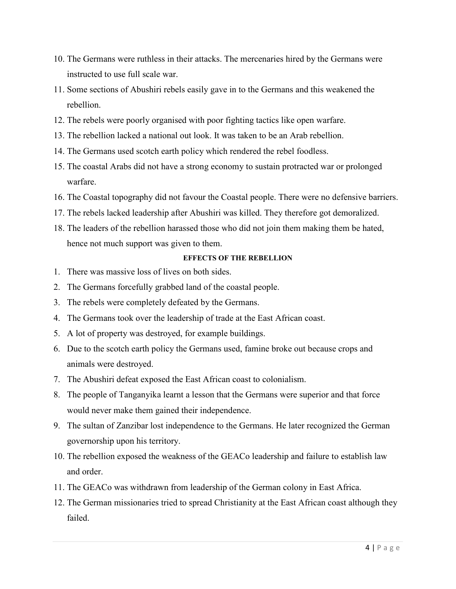- 10. The Germans were ruthless in their attacks. The mercenaries hired by the Germans were instructed to use full scale war.
- 11. Some sections of Abushiri rebels easily gave in to the Germans and this weakened the rebellion.
- 12. The rebels were poorly organised with poor fighting tactics like open warfare.
- 13. The rebellion lacked a national out look. It was taken to be an Arab rebellion.
- 14. The Germans used scotch earth policy which rendered the rebel foodless.
- 15. The coastal Arabs did not have a strong economy to sustain protracted war or prolonged warfare.
- 16. The Coastal topography did not favour the Coastal people. There were no defensive barriers.
- 17. The rebels lacked leadership after Abushiri was killed. They therefore got demoralized.
- 18. The leaders of the rebellion harassed those who did not join them making them be hated, hence not much support was given to them.

#### **EFFECTS OF THE REBELLION**

- 1. There was massive loss of lives on both sides.
- 2. The Germans forcefully grabbed land of the coastal people.
- 3. The rebels were completely defeated by the Germans.
- 4. The Germans took over the leadership of trade at the East African coast.
- 5. A lot of property was destroyed, for example buildings.
- 6. Due to the scotch earth policy the Germans used, famine broke out because crops and animals were destroyed.
- 7. The Abushiri defeat exposed the East African coast to colonialism.
- 8. The people of Tanganyika learnt a lesson that the Germans were superior and that force would never make them gained their independence.
- 9. The sultan of Zanzibar lost independence to the Germans. He later recognized the German governorship upon his territory.
- 10. The rebellion exposed the weakness of the GEACo leadership and failure to establish law and order.
- 11. The GEACo was withdrawn from leadership of the German colony in East Africa.
- 12. The German missionaries tried to spread Christianity at the East African coast although they failed.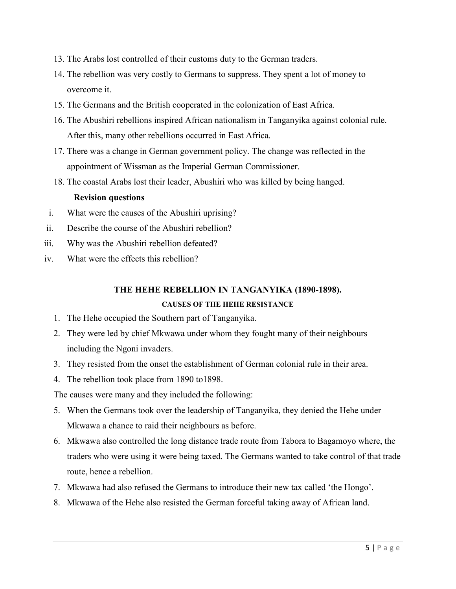- 13. The Arabs lost controlled of their customs duty to the German traders.
- 14. The rebellion was very costly to Germans to suppress. They spent a lot of money to overcome it.
- 15. The Germans and the British cooperated in the colonization of East Africa.
- 16. The Abushiri rebellions inspired African nationalism in Tanganyika against colonial rule. After this, many other rebellions occurred in East Africa.
- 17. There was a change in German government policy. The change was reflected in the appointment of Wissman as the Imperial German Commissioner.
- 18. The coastal Arabs lost their leader, Abushiri who was killed by being hanged.

#### **Revision questions**

- i. What were the causes of the Abushiri uprising?
- ii. Describe the course of the Abushiri rebellion?
- iii. Why was the Abushiri rebellion defeated?
- iv. What were the effects this rebellion?

### **THE HEHE REBELLION IN TANGANYIKA (1890-1898).**

#### **CAUSES OF THE HEHE RESISTANCE**

- 1. The Hehe occupied the Southern part of Tanganyika.
- 2. They were led by chief Mkwawa under whom they fought many of their neighbours including the Ngoni invaders.
- 3. They resisted from the onset the establishment of German colonial rule in their area.
- 4. The rebellion took place from 1890 to1898.

The causes were many and they included the following:

- 5. When the Germans took over the leadership of Tanganyika, they denied the Hehe under Mkwawa a chance to raid their neighbours as before.
- 6. Mkwawa also controlled the long distance trade route from Tabora to Bagamoyo where, the traders who were using it were being taxed. The Germans wanted to take control of that trade route, hence a rebellion.
- 7. Mkwawa had also refused the Germans to introduce their new tax called 'the Hongo'.
- 8. Mkwawa of the Hehe also resisted the German forceful taking away of African land.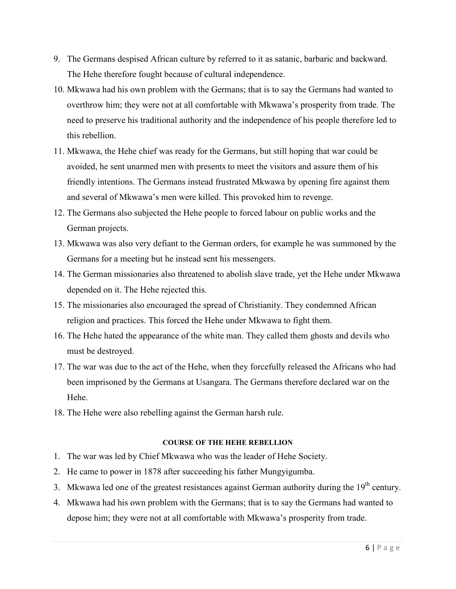- 9. The Germans despised African culture by referred to it as satanic, barbaric and backward. The Hehe therefore fought because of cultural independence.
- 10. Mkwawa had his own problem with the Germans; that is to say the Germans had wanted to overthrow him; they were not at all comfortable with Mkwawa's prosperity from trade. The need to preserve his traditional authority and the independence of his people therefore led to this rebellion.
- 11. Mkwawa, the Hehe chief was ready for the Germans, but still hoping that war could be avoided, he sent unarmed men with presents to meet the visitors and assure them of his friendly intentions. The Germans instead frustrated Mkwawa by opening fire against them and several of Mkwawa's men were killed. This provoked him to revenge.
- 12. The Germans also subjected the Hehe people to forced labour on public works and the German projects.
- 13. Mkwawa was also very defiant to the German orders, for example he was summoned by the Germans for a meeting but he instead sent his messengers.
- 14. The German missionaries also threatened to abolish slave trade, yet the Hehe under Mkwawa depended on it. The Hehe rejected this.
- 15. The missionaries also encouraged the spread of Christianity. They condemned African religion and practices. This forced the Hehe under Mkwawa to fight them.
- 16. The Hehe hated the appearance of the white man. They called them ghosts and devils who must be destroyed.
- 17. The war was due to the act of the Hehe, when they forcefully released the Africans who had been imprisoned by the Germans at Usangara. The Germans therefore declared war on the Hehe.
- 18. The Hehe were also rebelling against the German harsh rule.

#### **COURSE OF THE HEHE REBELLION**

- 1. The war was led by Chief Mkwawa who was the leader of Hehe Society.
- 2. He came to power in 1878 after succeeding his father Mungyigumba.
- 3. Mkwawa led one of the greatest resistances against German authority during the  $19<sup>th</sup>$  century.
- 4. Mkwawa had his own problem with the Germans; that is to say the Germans had wanted to depose him; they were not at all comfortable with Mkwawa's prosperity from trade.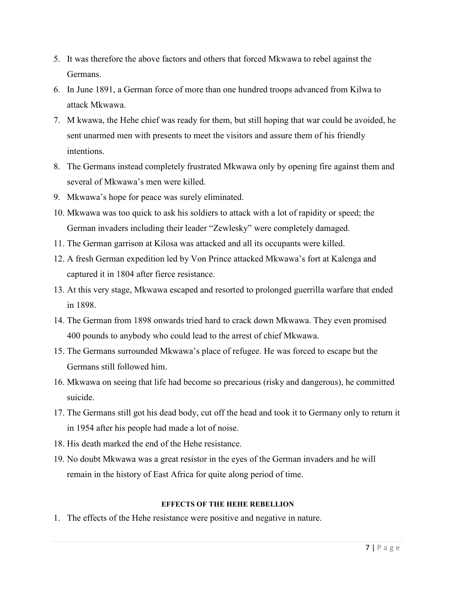- 5. It was therefore the above factors and others that forced Mkwawa to rebel against the Germans.
- 6. In June 1891, a German force of more than one hundred troops advanced from Kilwa to attack Mkwawa.
- 7. M kwawa, the Hehe chief was ready for them, but still hoping that war could be avoided, he sent unarmed men with presents to meet the visitors and assure them of his friendly intentions.
- 8. The Germans instead completely frustrated Mkwawa only by opening fire against them and several of Mkwawa's men were killed.
- 9. Mkwawa's hope for peace was surely eliminated.
- 10. Mkwawa was too quick to ask his soldiers to attack with a lot of rapidity or speed; the German invaders including their leader "Zewlesky" were completely damaged.
- 11. The German garrison at Kilosa was attacked and all its occupants were killed.
- 12. A fresh German expedition led by Von Prince attacked Mkwawa's fort at Kalenga and captured it in 1804 after fierce resistance.
- 13. At this very stage, Mkwawa escaped and resorted to prolonged guerrilla warfare that ended in 1898.
- 14. The German from 1898 onwards tried hard to crack down Mkwawa. They even promised 400 pounds to anybody who could lead to the arrest of chief Mkwawa.
- 15. The Germans surrounded Mkwawa's place of refugee. He was forced to escape but the Germans still followed him.
- 16. Mkwawa on seeing that life had become so precarious (risky and dangerous), he committed suicide.
- 17. The Germans still got his dead body, cut off the head and took it to Germany only to return it in 1954 after his people had made a lot of noise.
- 18. His death marked the end of the Hehe resistance.
- 19. No doubt Mkwawa was a great resistor in the eyes of the German invaders and he will remain in the history of East Africa for quite along period of time.

## **EFFECTS OF THE HEHE REBELLION**

1. The effects of the Hehe resistance were positive and negative in nature.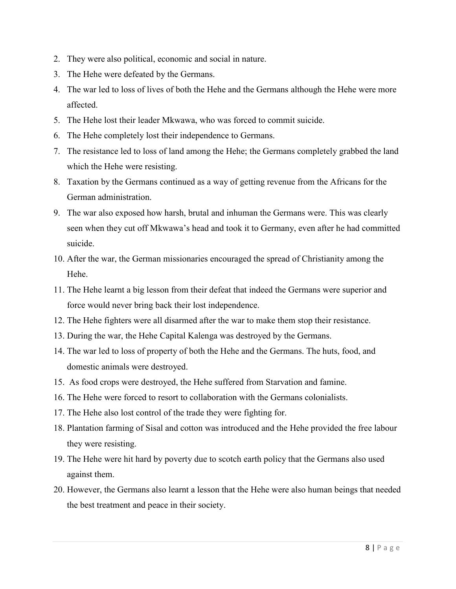- 2. They were also political, economic and social in nature.
- 3. The Hehe were defeated by the Germans.
- 4. The war led to loss of lives of both the Hehe and the Germans although the Hehe were more affected.
- 5. The Hehe lost their leader Mkwawa, who was forced to commit suicide.
- 6. The Hehe completely lost their independence to Germans.
- 7. The resistance led to loss of land among the Hehe; the Germans completely grabbed the land which the Hehe were resisting.
- 8. Taxation by the Germans continued as a way of getting revenue from the Africans for the German administration.
- 9. The war also exposed how harsh, brutal and inhuman the Germans were. This was clearly seen when they cut off Mkwawa's head and took it to Germany, even after he had committed suicide.
- 10. After the war, the German missionaries encouraged the spread of Christianity among the Hehe.
- 11. The Hehe learnt a big lesson from their defeat that indeed the Germans were superior and force would never bring back their lost independence.
- 12. The Hehe fighters were all disarmed after the war to make them stop their resistance.
- 13. During the war, the Hehe Capital Kalenga was destroyed by the Germans.
- 14. The war led to loss of property of both the Hehe and the Germans. The huts, food, and domestic animals were destroyed.
- 15. As food crops were destroyed, the Hehe suffered from Starvation and famine.
- 16. The Hehe were forced to resort to collaboration with the Germans colonialists.
- 17. The Hehe also lost control of the trade they were fighting for.
- 18. Plantation farming of Sisal and cotton was introduced and the Hehe provided the free labour they were resisting.
- 19. The Hehe were hit hard by poverty due to scotch earth policy that the Germans also used against them.
- 20. However, the Germans also learnt a lesson that the Hehe were also human beings that needed the best treatment and peace in their society.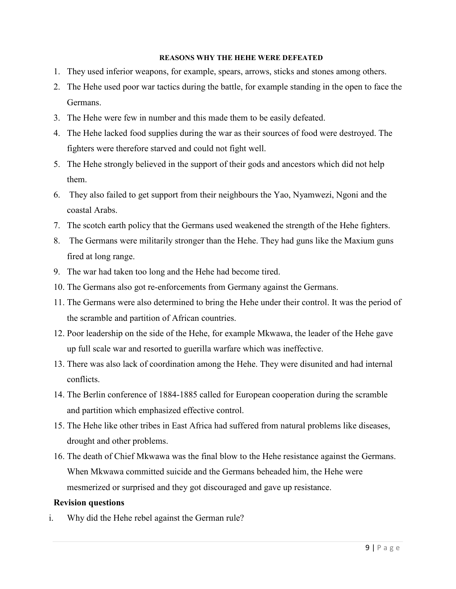#### **REASONS WHY THE HEHE WERE DEFEATED**

- 1. They used inferior weapons, for example, spears, arrows, sticks and stones among others.
- 2. The Hehe used poor war tactics during the battle, for example standing in the open to face the Germans.
- 3. The Hehe were few in number and this made them to be easily defeated.
- 4. The Hehe lacked food supplies during the war as their sources of food were destroyed. The fighters were therefore starved and could not fight well.
- 5. The Hehe strongly believed in the support of their gods and ancestors which did not help them.
- 6. They also failed to get support from their neighbours the Yao, Nyamwezi, Ngoni and the coastal Arabs.
- 7. The scotch earth policy that the Germans used weakened the strength of the Hehe fighters.
- 8. The Germans were militarily stronger than the Hehe. They had guns like the Maxium guns fired at long range.
- 9. The war had taken too long and the Hehe had become tired.
- 10. The Germans also got re-enforcements from Germany against the Germans.
- 11. The Germans were also determined to bring the Hehe under their control. It was the period of the scramble and partition of African countries.
- 12. Poor leadership on the side of the Hehe, for example Mkwawa, the leader of the Hehe gave up full scale war and resorted to guerilla warfare which was ineffective.
- 13. There was also lack of coordination among the Hehe. They were disunited and had internal conflicts.
- 14. The Berlin conference of 1884-1885 called for European cooperation during the scramble and partition which emphasized effective control.
- 15. The Hehe like other tribes in East Africa had suffered from natural problems like diseases, drought and other problems.
- 16. The death of Chief Mkwawa was the final blow to the Hehe resistance against the Germans. When Mkwawa committed suicide and the Germans beheaded him, the Hehe were mesmerized or surprised and they got discouraged and gave up resistance.

#### **Revision questions**

i. Why did the Hehe rebel against the German rule?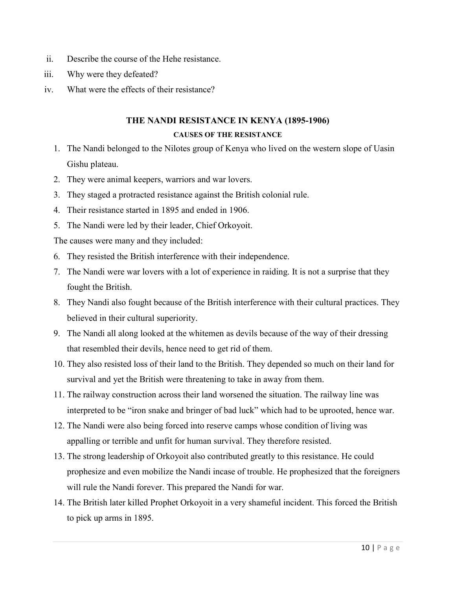- ii. Describe the course of the Hehe resistance.
- iii. Why were they defeated?
- iv. What were the effects of their resistance?

# **THE NANDI RESISTANCE IN KENYA (1895-1906) CAUSES OF THE RESISTANCE**

- 1. The Nandi belonged to the Nilotes group of Kenya who lived on the western slope of Uasin Gishu plateau.
- 2. They were animal keepers, warriors and war lovers.
- 3. They staged a protracted resistance against the British colonial rule.
- 4. Their resistance started in 1895 and ended in 1906.
- 5. The Nandi were led by their leader, Chief Orkoyoit.

The causes were many and they included:

- 6. They resisted the British interference with their independence.
- 7. The Nandi were war lovers with a lot of experience in raiding. It is not a surprise that they fought the British.
- 8. They Nandi also fought because of the British interference with their cultural practices. They believed in their cultural superiority.
- 9. The Nandi all along looked at the whitemen as devils because of the way of their dressing that resembled their devils, hence need to get rid of them.
- 10. They also resisted loss of their land to the British. They depended so much on their land for survival and yet the British were threatening to take in away from them.
- 11. The railway construction across their land worsened the situation. The railway line was interpreted to be "iron snake and bringer of bad luck" which had to be uprooted, hence war.
- 12. The Nandi were also being forced into reserve camps whose condition of living was appalling or terrible and unfit for human survival. They therefore resisted.
- 13. The strong leadership of Orkoyoit also contributed greatly to this resistance. He could prophesize and even mobilize the Nandi incase of trouble. He prophesized that the foreigners will rule the Nandi forever. This prepared the Nandi for war.
- 14. The British later killed Prophet Orkoyoit in a very shameful incident. This forced the British to pick up arms in 1895.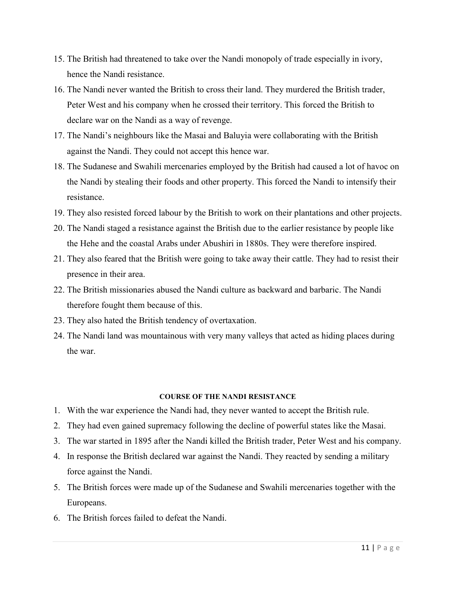- 15. The British had threatened to take over the Nandi monopoly of trade especially in ivory, hence the Nandi resistance.
- 16. The Nandi never wanted the British to cross their land. They murdered the British trader, Peter West and his company when he crossed their territory. This forced the British to declare war on the Nandi as a way of revenge.
- 17. The Nandi's neighbours like the Masai and Baluyia were collaborating with the British against the Nandi. They could not accept this hence war.
- 18. The Sudanese and Swahili mercenaries employed by the British had caused a lot of havoc on the Nandi by stealing their foods and other property. This forced the Nandi to intensify their resistance.
- 19. They also resisted forced labour by the British to work on their plantations and other projects.
- 20. The Nandi staged a resistance against the British due to the earlier resistance by people like the Hehe and the coastal Arabs under Abushiri in 1880s. They were therefore inspired.
- 21. They also feared that the British were going to take away their cattle. They had to resist their presence in their area.
- 22. The British missionaries abused the Nandi culture as backward and barbaric. The Nandi therefore fought them because of this.
- 23. They also hated the British tendency of overtaxation.
- 24. The Nandi land was mountainous with very many valleys that acted as hiding places during the war.

#### **COURSE OF THE NANDI RESISTANCE**

- 1. With the war experience the Nandi had, they never wanted to accept the British rule.
- 2. They had even gained supremacy following the decline of powerful states like the Masai.
- 3. The war started in 1895 after the Nandi killed the British trader, Peter West and his company.
- 4. In response the British declared war against the Nandi. They reacted by sending a military force against the Nandi.
- 5. The British forces were made up of the Sudanese and Swahili mercenaries together with the Europeans.
- 6. The British forces failed to defeat the Nandi.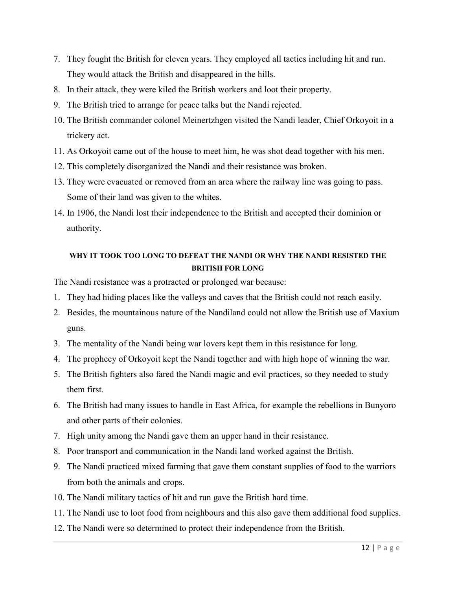- 7. They fought the British for eleven years. They employed all tactics including hit and run. They would attack the British and disappeared in the hills.
- 8. In their attack, they were kiled the British workers and loot their property.
- 9. The British tried to arrange for peace talks but the Nandi rejected.
- 10. The British commander colonel Meinertzhgen visited the Nandi leader, Chief Orkoyoit in a trickery act.
- 11. As Orkoyoit came out of the house to meet him, he was shot dead together with his men.
- 12. This completely disorganized the Nandi and their resistance was broken.
- 13. They were evacuated or removed from an area where the railway line was going to pass. Some of their land was given to the whites.
- 14. In 1906, the Nandi lost their independence to the British and accepted their dominion or authority.

## **WHY IT TOOK TOO LONG TO DEFEAT THE NANDI OR WHY THE NANDI RESISTED THE BRITISH FOR LONG**

The Nandi resistance was a protracted or prolonged war because:

- 1. They had hiding places like the valleys and caves that the British could not reach easily.
- 2. Besides, the mountainous nature of the Nandiland could not allow the British use of Maxium guns.
- 3. The mentality of the Nandi being war lovers kept them in this resistance for long.
- 4. The prophecy of Orkoyoit kept the Nandi together and with high hope of winning the war.
- 5. The British fighters also fared the Nandi magic and evil practices, so they needed to study them first.
- 6. The British had many issues to handle in East Africa, for example the rebellions in Bunyoro and other parts of their colonies.
- 7. High unity among the Nandi gave them an upper hand in their resistance.
- 8. Poor transport and communication in the Nandi land worked against the British.
- 9. The Nandi practiced mixed farming that gave them constant supplies of food to the warriors from both the animals and crops.
- 10. The Nandi military tactics of hit and run gave the British hard time.
- 11. The Nandi use to loot food from neighbours and this also gave them additional food supplies.
- 12. The Nandi were so determined to protect their independence from the British.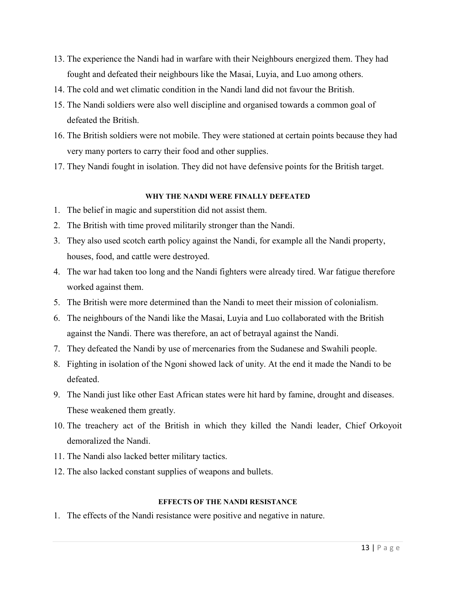- 13. The experience the Nandi had in warfare with their Neighbours energized them. They had fought and defeated their neighbours like the Masai, Luyia, and Luo among others.
- 14. The cold and wet climatic condition in the Nandi land did not favour the British.
- 15. The Nandi soldiers were also well discipline and organised towards a common goal of defeated the British.
- 16. The British soldiers were not mobile. They were stationed at certain points because they had very many porters to carry their food and other supplies.
- 17. They Nandi fought in isolation. They did not have defensive points for the British target.

## **WHY THE NANDI WERE FINALLY DEFEATED**

- 1. The belief in magic and superstition did not assist them.
- 2. The British with time proved militarily stronger than the Nandi.
- 3. They also used scotch earth policy against the Nandi, for example all the Nandi property, houses, food, and cattle were destroyed.
- 4. The war had taken too long and the Nandi fighters were already tired. War fatigue therefore worked against them.
- 5. The British were more determined than the Nandi to meet their mission of colonialism.
- 6. The neighbours of the Nandi like the Masai, Luyia and Luo collaborated with the British against the Nandi. There was therefore, an act of betrayal against the Nandi.
- 7. They defeated the Nandi by use of mercenaries from the Sudanese and Swahili people.
- 8. Fighting in isolation of the Ngoni showed lack of unity. At the end it made the Nandi to be defeated.
- 9. The Nandi just like other East African states were hit hard by famine, drought and diseases. These weakened them greatly.
- 10. The treachery act of the British in which they killed the Nandi leader, Chief Orkoyoit demoralized the Nandi.
- 11. The Nandi also lacked better military tactics.
- 12. The also lacked constant supplies of weapons and bullets.

#### **EFFECTS OF THE NANDI RESISTANCE**

1. The effects of the Nandi resistance were positive and negative in nature.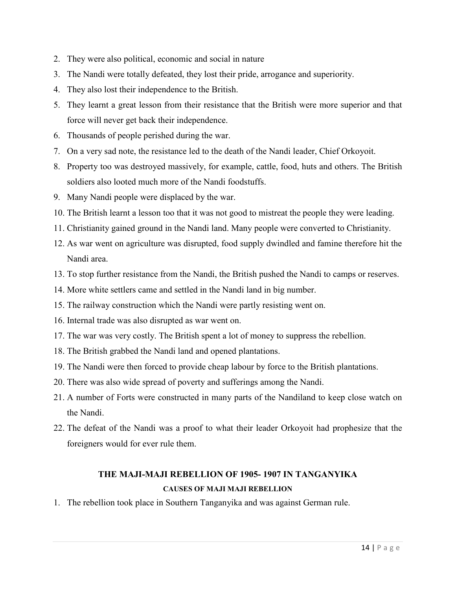- 2. They were also political, economic and social in nature
- 3. The Nandi were totally defeated, they lost their pride, arrogance and superiority.
- 4. They also lost their independence to the British.
- 5. They learnt a great lesson from their resistance that the British were more superior and that force will never get back their independence.
- 6. Thousands of people perished during the war.
- 7. On a very sad note, the resistance led to the death of the Nandi leader, Chief Orkoyoit.
- 8. Property too was destroyed massively, for example, cattle, food, huts and others. The British soldiers also looted much more of the Nandi foodstuffs.
- 9. Many Nandi people were displaced by the war.
- 10. The British learnt a lesson too that it was not good to mistreat the people they were leading.
- 11. Christianity gained ground in the Nandi land. Many people were converted to Christianity.
- 12. As war went on agriculture was disrupted, food supply dwindled and famine therefore hit the Nandi area.
- 13. To stop further resistance from the Nandi, the British pushed the Nandi to camps or reserves.
- 14. More white settlers came and settled in the Nandi land in big number.
- 15. The railway construction which the Nandi were partly resisting went on.
- 16. Internal trade was also disrupted as war went on.
- 17. The war was very costly. The British spent a lot of money to suppress the rebellion.
- 18. The British grabbed the Nandi land and opened plantations.
- 19. The Nandi were then forced to provide cheap labour by force to the British plantations.
- 20. There was also wide spread of poverty and sufferings among the Nandi.
- 21. A number of Forts were constructed in many parts of the Nandiland to keep close watch on the Nandi.
- 22. The defeat of the Nandi was a proof to what their leader Orkoyoit had prophesize that the foreigners would for ever rule them.

# **THE MAJI-MAJI REBELLION OF 1905- 1907 IN TANGANYIKA CAUSES OF MAJI MAJI REBELLION**

1. The rebellion took place in Southern Tanganyika and was against German rule.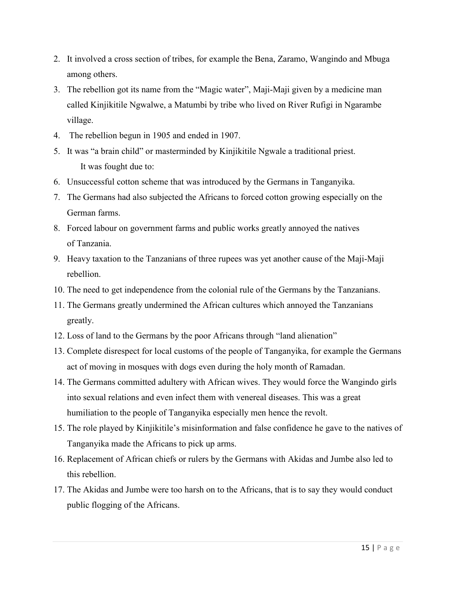- 2. It involved a cross section of tribes, for example the Bena, Zaramo, Wangindo and Mbuga among others.
- 3. The rebellion got its name from the "Magic water", Maji-Maji given by a medicine man called Kinjikitile Ngwalwe, a Matumbi by tribe who lived on River Rufigi in Ngarambe village.
- 4. The rebellion begun in 1905 and ended in 1907.
- 5. It was "a brain child" or masterminded by Kinjikitile Ngwale a traditional priest. It was fought due to:
- 6. Unsuccessful cotton scheme that was introduced by the Germans in Tanganyika.
- 7. The Germans had also subjected the Africans to forced cotton growing especially on the German farms.
- 8. Forced labour on government farms and public works greatly annoyed the natives of Tanzania.
- 9. Heavy taxation to the Tanzanians of three rupees was yet another cause of the Maji-Maji rebellion.
- 10. The need to get independence from the colonial rule of the Germans by the Tanzanians.
- 11. The Germans greatly undermined the African cultures which annoyed the Tanzanians greatly.
- 12. Loss of land to the Germans by the poor Africans through "land alienation"
- 13. Complete disrespect for local customs of the people of Tanganyika, for example the Germans act of moving in mosques with dogs even during the holy month of Ramadan.
- 14. The Germans committed adultery with African wives. They would force the Wangindo girls into sexual relations and even infect them with venereal diseases. This was a great humiliation to the people of Tanganyika especially men hence the revolt.
- 15. The role played by Kinjikitile's misinformation and false confidence he gave to the natives of Tanganyika made the Africans to pick up arms.
- 16. Replacement of African chiefs or rulers by the Germans with Akidas and Jumbe also led to this rebellion.
- 17. The Akidas and Jumbe were too harsh on to the Africans, that is to say they would conduct public flogging of the Africans.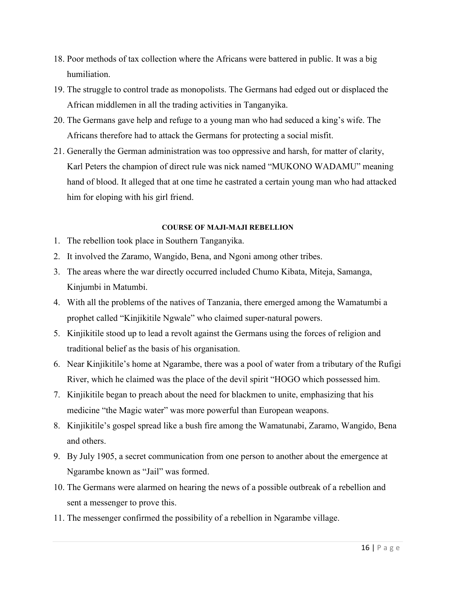- 18. Poor methods of tax collection where the Africans were battered in public. It was a big humiliation.
- 19. The struggle to control trade as monopolists. The Germans had edged out or displaced the African middlemen in all the trading activities in Tanganyika.
- 20. The Germans gave help and refuge to a young man who had seduced a king's wife. The Africans therefore had to attack the Germans for protecting a social misfit.
- 21. Generally the German administration was too oppressive and harsh, for matter of clarity, Karl Peters the champion of direct rule was nick named "MUKONO WADAMU" meaning hand of blood. It alleged that at one time he castrated a certain young man who had attacked him for eloping with his girl friend.

#### **COURSE OF MAJI-MAJI REBELLION**

- 1. The rebellion took place in Southern Tanganyika.
- 2. It involved the Zaramo, Wangido, Bena, and Ngoni among other tribes.
- 3. The areas where the war directly occurred included Chumo Kibata, Miteja, Samanga, Kinjumbi in Matumbi.
- 4. With all the problems of the natives of Tanzania, there emerged among the Wamatumbi a prophet called "Kinjikitile Ngwale" who claimed super-natural powers.
- 5. Kinjikitile stood up to lead a revolt against the Germans using the forces of religion and traditional belief as the basis of his organisation.
- 6. Near Kinjikitile's home at Ngarambe, there was a pool of water from a tributary of the Rufigi River, which he claimed was the place of the devil spirit "HOGO which possessed him.
- 7. Kinjikitile began to preach about the need for blackmen to unite, emphasizing that his medicine "the Magic water" was more powerful than European weapons.
- 8. Kinjikitile's gospel spread like a bush fire among the Wamatunabi, Zaramo, Wangido, Bena and others.
- 9. By July 1905, a secret communication from one person to another about the emergence at Ngarambe known as "Jail" was formed.
- 10. The Germans were alarmed on hearing the news of a possible outbreak of a rebellion and sent a messenger to prove this.
- 11. The messenger confirmed the possibility of a rebellion in Ngarambe village.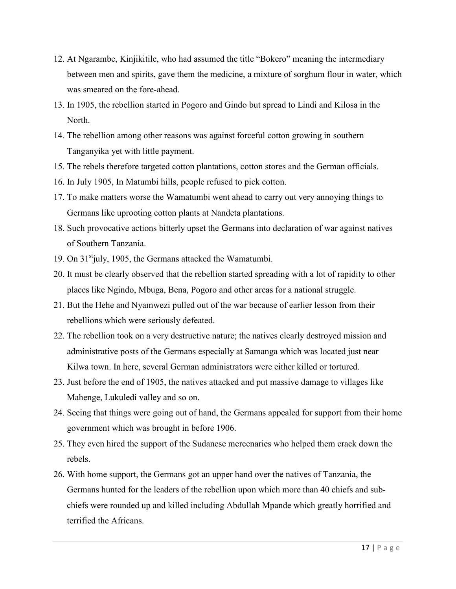- 12. At Ngarambe, Kinjikitile, who had assumed the title "Bokero" meaning the intermediary between men and spirits, gave them the medicine, a mixture of sorghum flour in water, which was smeared on the fore-ahead.
- 13. In 1905, the rebellion started in Pogoro and Gindo but spread to Lindi and Kilosa in the North.
- 14. The rebellion among other reasons was against forceful cotton growing in southern Tanganyika yet with little payment.
- 15. The rebels therefore targeted cotton plantations, cotton stores and the German officials.
- 16. In July 1905, In Matumbi hills, people refused to pick cotton.
- 17. To make matters worse the Wamatumbi went ahead to carry out very annoying things to Germans like uprooting cotton plants at Nandeta plantations.
- 18. Such provocative actions bitterly upset the Germans into declaration of war against natives of Southern Tanzania.
- 19. On  $31^{\text{st}}$  july, 1905, the Germans attacked the Wamatumbi.
- 20. It must be clearly observed that the rebellion started spreading with a lot of rapidity to other places like Ngindo, Mbuga, Bena, Pogoro and other areas for a national struggle.
- 21. But the Hehe and Nyamwezi pulled out of the war because of earlier lesson from their rebellions which were seriously defeated.
- 22. The rebellion took on a very destructive nature; the natives clearly destroyed mission and administrative posts of the Germans especially at Samanga which was located just near Kilwa town. In here, several German administrators were either killed or tortured.
- 23. Just before the end of 1905, the natives attacked and put massive damage to villages like Mahenge, Lukuledi valley and so on.
- 24. Seeing that things were going out of hand, the Germans appealed for support from their home government which was brought in before 1906.
- 25. They even hired the support of the Sudanese mercenaries who helped them crack down the rebels.
- 26. With home support, the Germans got an upper hand over the natives of Tanzania, the Germans hunted for the leaders of the rebellion upon which more than 40 chiefs and subchiefs were rounded up and killed including Abdullah Mpande which greatly horrified and terrified the Africans.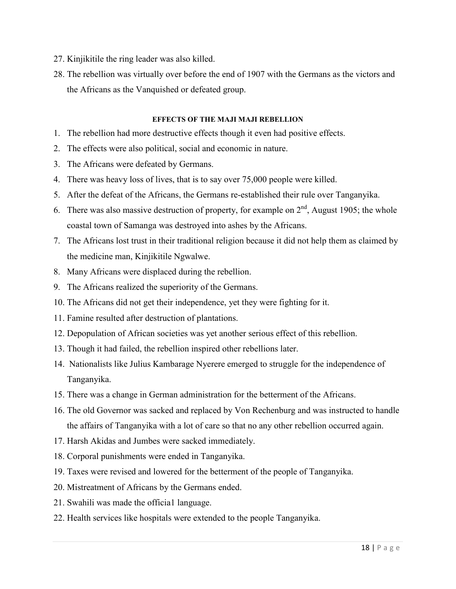- 27. Kinjikitile the ring leader was also killed.
- 28. The rebellion was virtually over before the end of 1907 with the Germans as the victors and the Africans as the Vanquished or defeated group.

### **EFFECTS OF THE MAJI MAJI REBELLION**

- 1. The rebellion had more destructive effects though it even had positive effects.
- 2. The effects were also political, social and economic in nature.
- 3. The Africans were defeated by Germans.
- 4. There was heavy loss of lives, that is to say over 75,000 people were killed.
- 5. After the defeat of the Africans, the Germans re-established their rule over Tanganyika.
- 6. There was also massive destruction of property, for example on  $2<sup>nd</sup>$ , August 1905; the whole coastal town of Samanga was destroyed into ashes by the Africans.
- 7. The Africans lost trust in their traditional religion because it did not help them as claimed by the medicine man, Kinjikitile Ngwalwe.
- 8. Many Africans were displaced during the rebellion.
- 9. The Africans realized the superiority of the Germans.
- 10. The Africans did not get their independence, yet they were fighting for it.
- 11. Famine resulted after destruction of plantations.
- 12. Depopulation of African societies was yet another serious effect of this rebellion.
- 13. Though it had failed, the rebellion inspired other rebellions later.
- 14. Nationalists like Julius Kambarage Nyerere emerged to struggle for the independence of Tanganyika.
- 15. There was a change in German administration for the betterment of the Africans.
- 16. The old Governor was sacked and replaced by Von Rechenburg and was instructed to handle the affairs of Tanganyika with a lot of care so that no any other rebellion occurred again.
- 17. Harsh Akidas and Jumbes were sacked immediately.
- 18. Corporal punishments were ended in Tanganyika.
- 19. Taxes were revised and lowered for the betterment of the people of Tanganyika.
- 20. Mistreatment of Africans by the Germans ended.
- 21. Swahili was made the officia1 language.
- 22. Health services like hospitals were extended to the people Tanganyika.